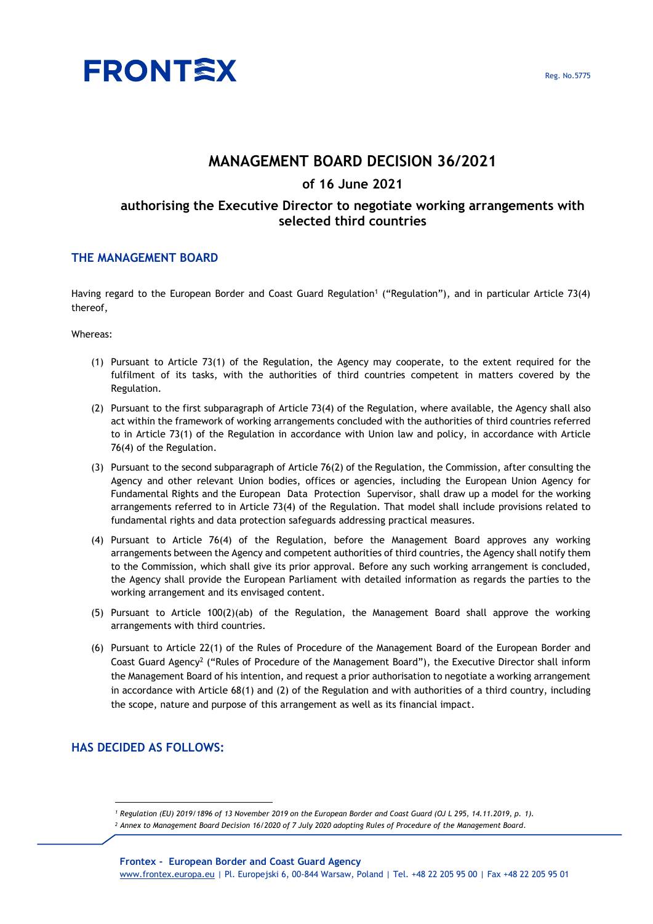

# **MANAGEMENT BOARD DECISION 36/2021**

## **of 16 June 2021**

# **authorising the Executive Director to negotiate working arrangements with selected third countries**

### **THE MANAGEMENT BOARD**

Having regard to the European Border and Coast Guard Regulation<sup>1</sup> ("Regulation"), and in particular Article 73(4) thereof,

#### Whereas:

- (1) Pursuant to Article 73(1) of the Regulation, the Agency may cooperate, to the extent required for the fulfilment of its tasks, with the authorities of third countries competent in matters covered by the Regulation.
- (2) Pursuant to the first subparagraph of Article 73(4) of the Regulation, where available, the Agency shall also act within the framework of working arrangements concluded with the authorities of third countries referred to in Article 73(1) of the Regulation in accordance with Union law and policy, in accordance with Article 76(4) of the Regulation.
- (3) Pursuant to the second subparagraph of Article 76(2) of the Regulation, the Commission, after consulting the Agency and other relevant Union bodies, offices or agencies, including the European Union Agency for Fundamental Rights and the European Data Protection Supervisor, shall draw up a model for the working arrangements referred to in Article 73(4) of the Regulation. That model shall include provisions related to fundamental rights and data protection safeguards addressing practical measures.
- (4) Pursuant to Article 76(4) of the Regulation, before the Management Board approves any working arrangements between the Agency and competent authorities of third countries, the Agency shall notify them to the Commission, which shall give its prior approval. Before any such working arrangement is concluded, the Agency shall provide the European Parliament with detailed information as regards the parties to the working arrangement and its envisaged content.
- (5) Pursuant to Article 100(2)(ab) of the Regulation, the Management Board shall approve the working arrangements with third countries.
- (6) Pursuant to Article 22(1) of the Rules of Procedure of the Management Board of the European Border and Coast Guard Agency<sup>2</sup> ("Rules of Procedure of the Management Board"), the Executive Director shall inform the Management Board of his intention, and request a prior authorisation to negotiate a working arrangement in accordance with Article 68(1) and (2) of the Regulation and with authorities of a third country, including the scope, nature and purpose of this arrangement as well as its financial impact.

### **HAS DECIDED AS FOLLOWS:**

*<sup>1</sup> Regulation (EU) 2019/1896 of 13 November 2019 on the European Border and Coast Guard (OJ L 295, 14.11.2019, p. 1).*

*<sup>2</sup> Annex to Management Board Decision 16/2020 of 7 July 2020 adopting Rules of Procedure of the Management Board.*